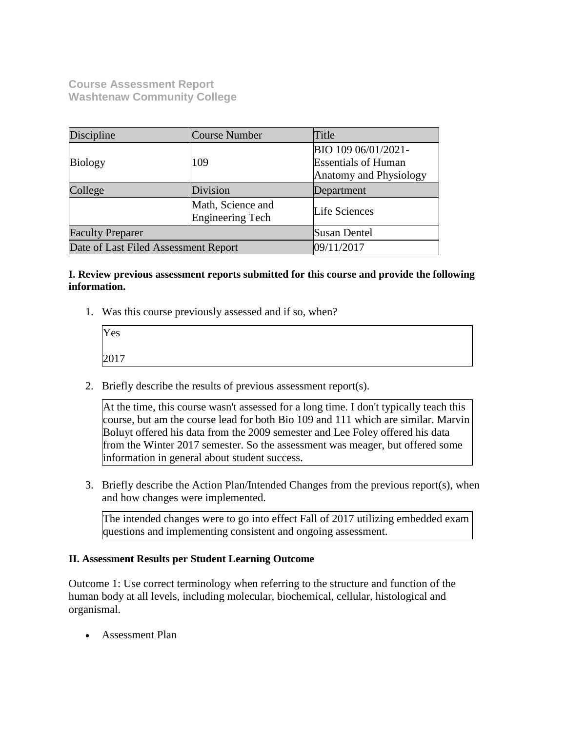**Course Assessment Report Washtenaw Community College**

| Discipline                           | Course Number                         | Title                                             |  |
|--------------------------------------|---------------------------------------|---------------------------------------------------|--|
| <b>Biology</b>                       | 109                                   | BIO 109 06/01/2021-<br><b>Essentials of Human</b> |  |
|                                      |                                       | <b>Anatomy and Physiology</b>                     |  |
| College                              | Division                              | Department                                        |  |
|                                      | Math, Science and<br>Engineering Tech | Life Sciences                                     |  |
| <b>Faculty Preparer</b>              |                                       | Susan Dentel                                      |  |
| Date of Last Filed Assessment Report |                                       | 09/11/2017                                        |  |

## **I. Review previous assessment reports submitted for this course and provide the following information.**

1. Was this course previously assessed and if so, when?

| Yes  |  |  |
|------|--|--|
| 2017 |  |  |

2. Briefly describe the results of previous assessment report(s).

At the time, this course wasn't assessed for a long time. I don't typically teach this course, but am the course lead for both Bio 109 and 111 which are similar. Marvin Boluyt offered his data from the 2009 semester and Lee Foley offered his data from the Winter 2017 semester. So the assessment was meager, but offered some information in general about student success.

3. Briefly describe the Action Plan/Intended Changes from the previous report(s), when and how changes were implemented.

The intended changes were to go into effect Fall of 2017 utilizing embedded exam questions and implementing consistent and ongoing assessment.

## **II. Assessment Results per Student Learning Outcome**

Outcome 1: Use correct terminology when referring to the structure and function of the human body at all levels, including molecular, biochemical, cellular, histological and organismal.

Assessment Plan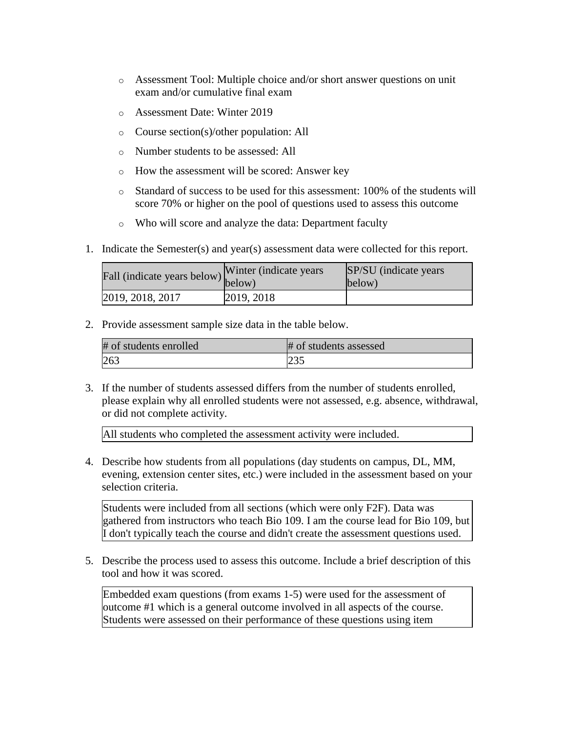- o Assessment Tool: Multiple choice and/or short answer questions on unit exam and/or cumulative final exam
- o Assessment Date: Winter 2019
- o Course section(s)/other population: All
- o Number students to be assessed: All
- o How the assessment will be scored: Answer key
- o Standard of success to be used for this assessment: 100% of the students will score 70% or higher on the pool of questions used to assess this outcome
- o Who will score and analyze the data: Department faculty
- 1. Indicate the Semester(s) and year(s) assessment data were collected for this report.

| r'all (indicate years below) below) | Winter (indicate years) | SP/SU (indicate years)<br>below) |
|-------------------------------------|-------------------------|----------------------------------|
| 2019, 2018, 2017                    | 2019, 2018              |                                  |

2. Provide assessment sample size data in the table below.

| # of students enrolled | # of students assessed |
|------------------------|------------------------|
| 263                    | 235                    |

3. If the number of students assessed differs from the number of students enrolled, please explain why all enrolled students were not assessed, e.g. absence, withdrawal, or did not complete activity.

All students who completed the assessment activity were included.

4. Describe how students from all populations (day students on campus, DL, MM, evening, extension center sites, etc.) were included in the assessment based on your selection criteria.

Students were included from all sections (which were only F2F). Data was gathered from instructors who teach Bio 109. I am the course lead for Bio 109, but I don't typically teach the course and didn't create the assessment questions used.

5. Describe the process used to assess this outcome. Include a brief description of this tool and how it was scored.

Embedded exam questions (from exams 1-5) were used for the assessment of outcome #1 which is a general outcome involved in all aspects of the course. Students were assessed on their performance of these questions using item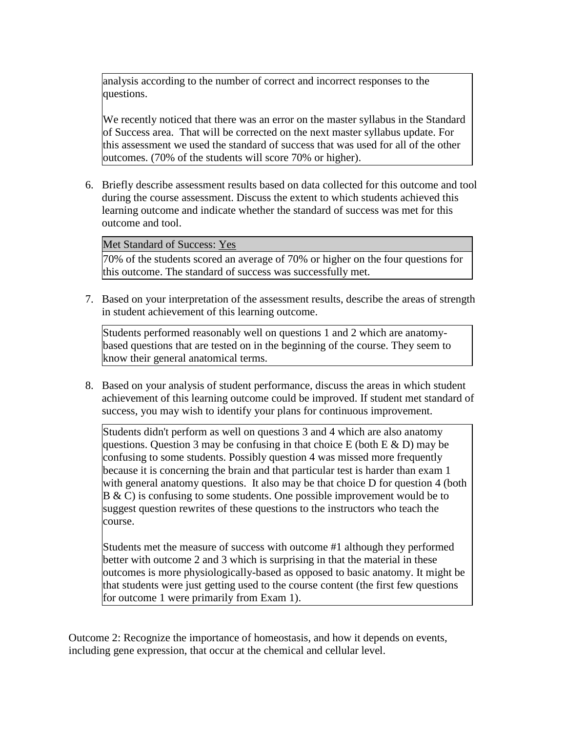analysis according to the number of correct and incorrect responses to the questions.

We recently noticed that there was an error on the master syllabus in the Standard of Success area. That will be corrected on the next master syllabus update. For this assessment we used the standard of success that was used for all of the other outcomes. (70% of the students will score 70% or higher).

6. Briefly describe assessment results based on data collected for this outcome and tool during the course assessment. Discuss the extent to which students achieved this learning outcome and indicate whether the standard of success was met for this outcome and tool.

Met Standard of Success: Yes

70% of the students scored an average of 70% or higher on the four questions for this outcome. The standard of success was successfully met.

7. Based on your interpretation of the assessment results, describe the areas of strength in student achievement of this learning outcome.

Students performed reasonably well on questions 1 and 2 which are anatomybased questions that are tested on in the beginning of the course. They seem to know their general anatomical terms.

8. Based on your analysis of student performance, discuss the areas in which student achievement of this learning outcome could be improved. If student met standard of success, you may wish to identify your plans for continuous improvement.

Students didn't perform as well on questions 3 and 4 which are also anatomy questions. Question 3 may be confusing in that choice E (both  $E \& D$ ) may be confusing to some students. Possibly question 4 was missed more frequently because it is concerning the brain and that particular test is harder than exam 1 with general anatomy questions. It also may be that choice D for question 4 (both  $B \& C$ ) is confusing to some students. One possible improvement would be to suggest question rewrites of these questions to the instructors who teach the course.

Students met the measure of success with outcome #1 although they performed better with outcome 2 and 3 which is surprising in that the material in these outcomes is more physiologically-based as opposed to basic anatomy. It might be that students were just getting used to the course content (the first few questions for outcome 1 were primarily from Exam 1).

Outcome 2: Recognize the importance of homeostasis, and how it depends on events, including gene expression, that occur at the chemical and cellular level.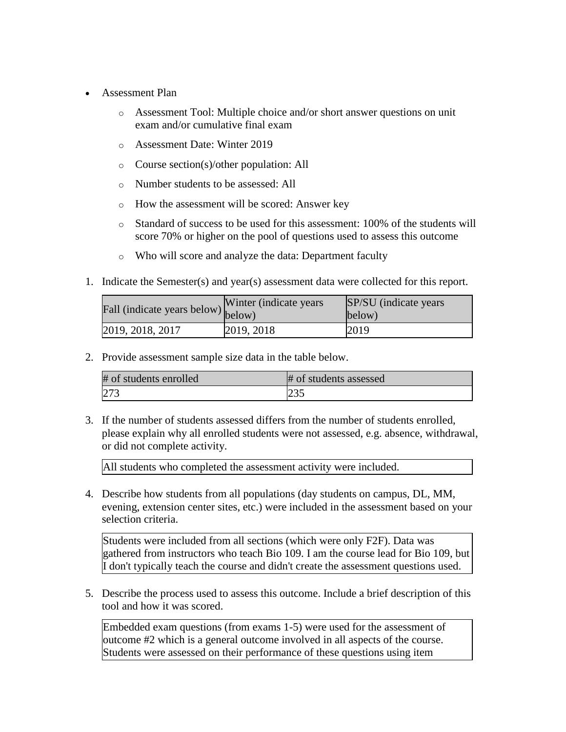- Assessment Plan
	- o Assessment Tool: Multiple choice and/or short answer questions on unit exam and/or cumulative final exam
	- o Assessment Date: Winter 2019
	- o Course section(s)/other population: All
	- o Number students to be assessed: All
	- o How the assessment will be scored: Answer key
	- o Standard of success to be used for this assessment: 100% of the students will score 70% or higher on the pool of questions used to assess this outcome
	- o Who will score and analyze the data: Department faculty
- 1. Indicate the Semester(s) and year(s) assessment data were collected for this report.

| Fall (indicate years below) below) | Winter (indicate years) | SP/SU (indicate years)<br>below) |
|------------------------------------|-------------------------|----------------------------------|
| 2019, 2018, 2017                   | 2019, 2018              | 2019                             |

2. Provide assessment sample size data in the table below.

| # of students enrolled | # of students assessed |
|------------------------|------------------------|
| 273                    | 235                    |

3. If the number of students assessed differs from the number of students enrolled, please explain why all enrolled students were not assessed, e.g. absence, withdrawal, or did not complete activity.

All students who completed the assessment activity were included.

4. Describe how students from all populations (day students on campus, DL, MM, evening, extension center sites, etc.) were included in the assessment based on your selection criteria.

Students were included from all sections (which were only F2F). Data was gathered from instructors who teach Bio 109. I am the course lead for Bio 109, but I don't typically teach the course and didn't create the assessment questions used.

5. Describe the process used to assess this outcome. Include a brief description of this tool and how it was scored.

Embedded exam questions (from exams 1-5) were used for the assessment of outcome #2 which is a general outcome involved in all aspects of the course. Students were assessed on their performance of these questions using item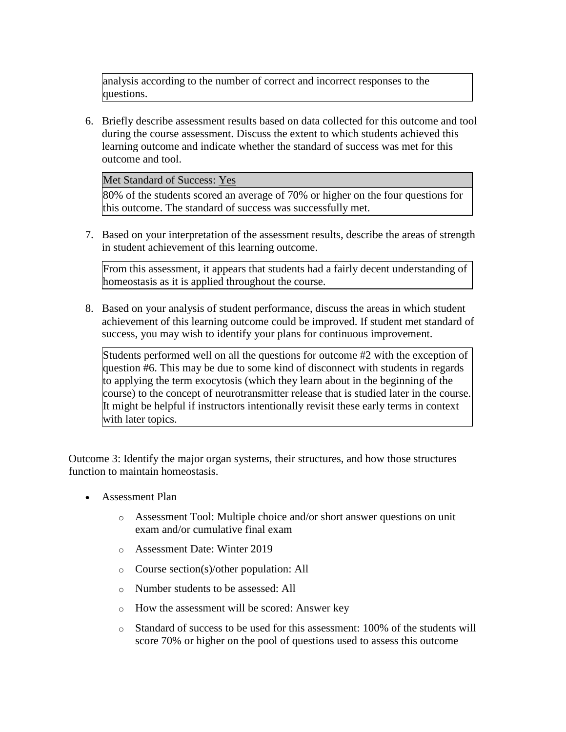analysis according to the number of correct and incorrect responses to the questions.

6. Briefly describe assessment results based on data collected for this outcome and tool during the course assessment. Discuss the extent to which students achieved this learning outcome and indicate whether the standard of success was met for this outcome and tool.

Met Standard of Success: Yes

80% of the students scored an average of 70% or higher on the four questions for this outcome. The standard of success was successfully met.

7. Based on your interpretation of the assessment results, describe the areas of strength in student achievement of this learning outcome.

From this assessment, it appears that students had a fairly decent understanding of homeostasis as it is applied throughout the course.

8. Based on your analysis of student performance, discuss the areas in which student achievement of this learning outcome could be improved. If student met standard of success, you may wish to identify your plans for continuous improvement.

Students performed well on all the questions for outcome #2 with the exception of question #6. This may be due to some kind of disconnect with students in regards to applying the term exocytosis (which they learn about in the beginning of the course) to the concept of neurotransmitter release that is studied later in the course. It might be helpful if instructors intentionally revisit these early terms in context with later topics.

Outcome 3: Identify the major organ systems, their structures, and how those structures function to maintain homeostasis.

- Assessment Plan
	- o Assessment Tool: Multiple choice and/or short answer questions on unit exam and/or cumulative final exam
	- o Assessment Date: Winter 2019
	- o Course section(s)/other population: All
	- o Number students to be assessed: All
	- o How the assessment will be scored: Answer key
	- $\circ$  Standard of success to be used for this assessment: 100% of the students will score 70% or higher on the pool of questions used to assess this outcome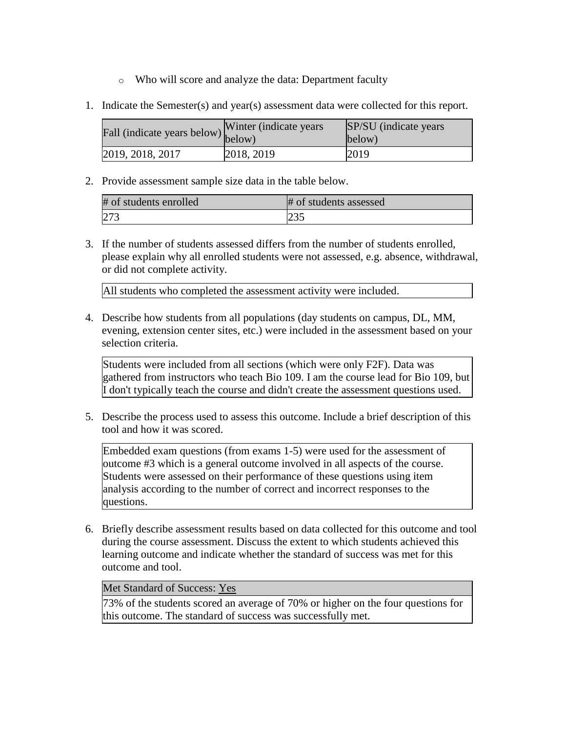- o Who will score and analyze the data: Department faculty
- 1. Indicate the Semester(s) and year(s) assessment data were collected for this report.

| <i><u><b>Addu</b></u></i> (indicate years below) below) | Winter (indicate years) | SP/SU (indicate years)<br>below) |
|---------------------------------------------------------|-------------------------|----------------------------------|
| 2019, 2018, 2017                                        | 2018, 2019              | 2019                             |

2. Provide assessment sample size data in the table below.

| # of students enrolled | # of students assessed |
|------------------------|------------------------|
| 273                    |                        |

3. If the number of students assessed differs from the number of students enrolled, please explain why all enrolled students were not assessed, e.g. absence, withdrawal, or did not complete activity.

All students who completed the assessment activity were included.

4. Describe how students from all populations (day students on campus, DL, MM, evening, extension center sites, etc.) were included in the assessment based on your selection criteria.

Students were included from all sections (which were only F2F). Data was gathered from instructors who teach Bio 109. I am the course lead for Bio 109, but I don't typically teach the course and didn't create the assessment questions used.

5. Describe the process used to assess this outcome. Include a brief description of this tool and how it was scored.

Embedded exam questions (from exams 1-5) were used for the assessment of outcome #3 which is a general outcome involved in all aspects of the course. Students were assessed on their performance of these questions using item analysis according to the number of correct and incorrect responses to the questions.

6. Briefly describe assessment results based on data collected for this outcome and tool during the course assessment. Discuss the extent to which students achieved this learning outcome and indicate whether the standard of success was met for this outcome and tool.

## Met Standard of Success: Yes

73% of the students scored an average of 70% or higher on the four questions for this outcome. The standard of success was successfully met.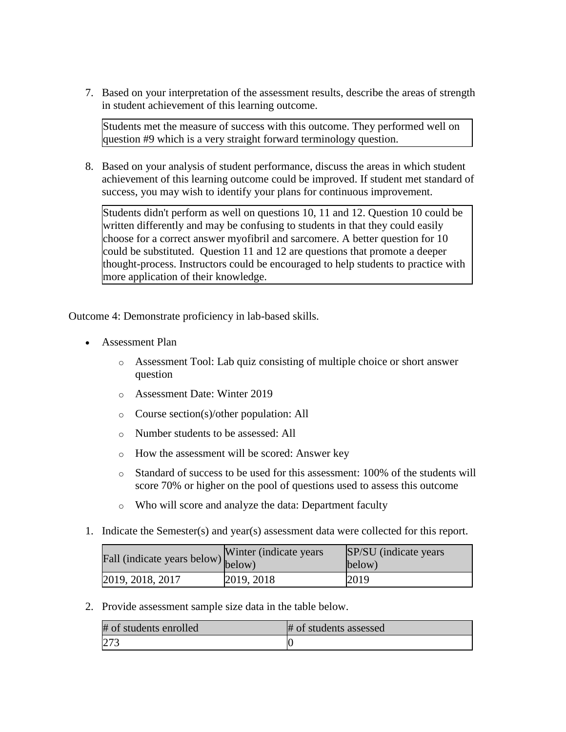7. Based on your interpretation of the assessment results, describe the areas of strength in student achievement of this learning outcome.

Students met the measure of success with this outcome. They performed well on question #9 which is a very straight forward terminology question.

8. Based on your analysis of student performance, discuss the areas in which student achievement of this learning outcome could be improved. If student met standard of success, you may wish to identify your plans for continuous improvement.

Students didn't perform as well on questions 10, 11 and 12. Question 10 could be written differently and may be confusing to students in that they could easily choose for a correct answer myofibril and sarcomere. A better question for 10 could be substituted. Question 11 and 12 are questions that promote a deeper thought-process. Instructors could be encouraged to help students to practice with more application of their knowledge.

Outcome 4: Demonstrate proficiency in lab-based skills.

- Assessment Plan
	- o Assessment Tool: Lab quiz consisting of multiple choice or short answer question
	- o Assessment Date: Winter 2019
	- o Course section(s)/other population: All
	- o Number students to be assessed: All
	- o How the assessment will be scored: Answer key
	- o Standard of success to be used for this assessment: 100% of the students will score 70% or higher on the pool of questions used to assess this outcome
	- o Who will score and analyze the data: Department faculty
- 1. Indicate the Semester(s) and year(s) assessment data were collected for this report.

| Fall (indicate years below) below) | Winter (indicate years) | SP/SU (indicate years)<br>below) |
|------------------------------------|-------------------------|----------------------------------|
| 2019, 2018, 2017                   | 2019, 2018              | 2019                             |

2. Provide assessment sample size data in the table below.

| # of students enrolled | # of students assessed |
|------------------------|------------------------|
| 273                    |                        |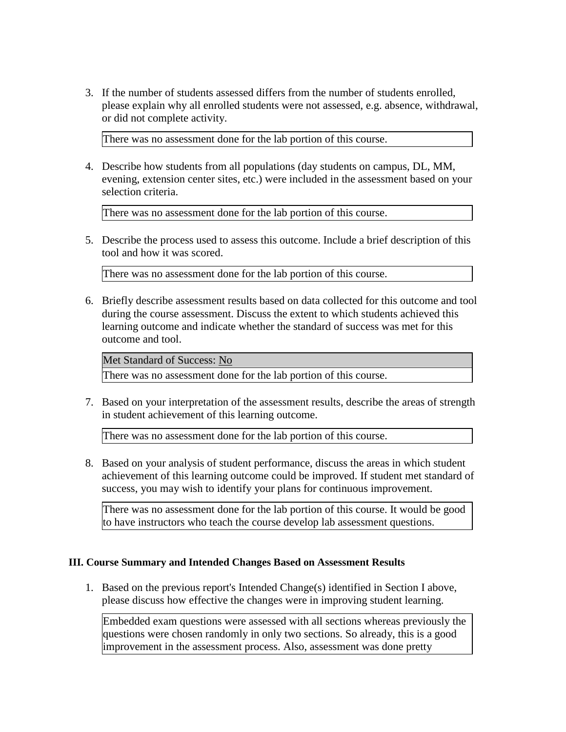3. If the number of students assessed differs from the number of students enrolled, please explain why all enrolled students were not assessed, e.g. absence, withdrawal, or did not complete activity.

There was no assessment done for the lab portion of this course.

4. Describe how students from all populations (day students on campus, DL, MM, evening, extension center sites, etc.) were included in the assessment based on your selection criteria.

There was no assessment done for the lab portion of this course.

5. Describe the process used to assess this outcome. Include a brief description of this tool and how it was scored.

There was no assessment done for the lab portion of this course.

6. Briefly describe assessment results based on data collected for this outcome and tool during the course assessment. Discuss the extent to which students achieved this learning outcome and indicate whether the standard of success was met for this outcome and tool.

Met Standard of Success: No

There was no assessment done for the lab portion of this course.

7. Based on your interpretation of the assessment results, describe the areas of strength in student achievement of this learning outcome.

There was no assessment done for the lab portion of this course.

8. Based on your analysis of student performance, discuss the areas in which student achievement of this learning outcome could be improved. If student met standard of success, you may wish to identify your plans for continuous improvement.

There was no assessment done for the lab portion of this course. It would be good to have instructors who teach the course develop lab assessment questions.

## **III. Course Summary and Intended Changes Based on Assessment Results**

1. Based on the previous report's Intended Change(s) identified in Section I above, please discuss how effective the changes were in improving student learning.

Embedded exam questions were assessed with all sections whereas previously the questions were chosen randomly in only two sections. So already, this is a good improvement in the assessment process. Also, assessment was done pretty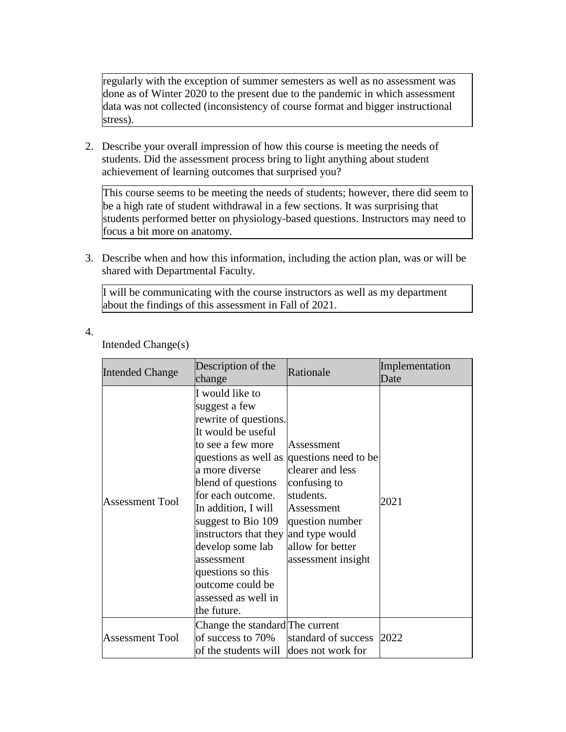regularly with the exception of summer semesters as well as no assessment was done as of Winter 2020 to the present due to the pandemic in which assessment data was not collected (inconsistency of course format and bigger instructional stress).

2. Describe your overall impression of how this course is meeting the needs of students. Did the assessment process bring to light anything about student achievement of learning outcomes that surprised you?

This course seems to be meeting the needs of students; however, there did seem to be a high rate of student withdrawal in a few sections. It was surprising that students performed better on physiology-based questions. Instructors may need to focus a bit more on anatomy.

3. Describe when and how this information, including the action plan, was or will be shared with Departmental Faculty.

I will be communicating with the course instructors as well as my department about the findings of this assessment in Fall of 2021.

4.

Intended Change(s)

| Intended Change        | Description of the<br>change                                                                                                                                                                                                                                                                                                                                            | Rationale                                                                                                                                                                           | Implementation<br>Date |
|------------------------|-------------------------------------------------------------------------------------------------------------------------------------------------------------------------------------------------------------------------------------------------------------------------------------------------------------------------------------------------------------------------|-------------------------------------------------------------------------------------------------------------------------------------------------------------------------------------|------------------------|
| <b>Assessment Tool</b> | I would like to<br>suggest a few<br>rewrite of questions.<br>It would be useful<br>to see a few more<br>a more diverse<br>blend of questions<br>for each outcome.<br>In addition, I will<br>suggest to Bio 109<br>instructors that they and type would<br>develop some lab<br>assessment<br>questions so this<br>outcome could be<br>assessed as well in<br>the future. | Assessment<br>questions as well as questions need to be<br>clearer and less<br>confusing to<br>students.<br>Assessment<br>question number<br>allow for better<br>assessment insight | 2021                   |
| <b>Assessment Tool</b> | Change the standard The current<br>of success to 70%<br>of the students will                                                                                                                                                                                                                                                                                            | standard of success<br>does not work for                                                                                                                                            | 2022                   |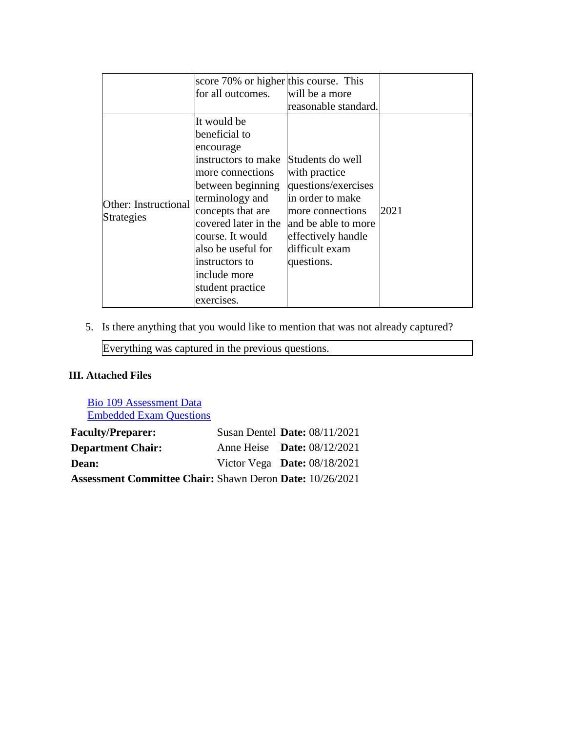|                                    | score 70% or higher this course. This                                                                                                                                                                                                                                  |                                                                                                                                                           |      |
|------------------------------------|------------------------------------------------------------------------------------------------------------------------------------------------------------------------------------------------------------------------------------------------------------------------|-----------------------------------------------------------------------------------------------------------------------------------------------------------|------|
|                                    | for all outcomes.                                                                                                                                                                                                                                                      | will be a more                                                                                                                                            |      |
|                                    |                                                                                                                                                                                                                                                                        | reasonable standard.                                                                                                                                      |      |
| Other: Instructional<br>Strategies | It would be<br>beneficial to<br>encourage<br>instructors to make Students do well<br>more connections<br>between beginning<br>terminology and<br>concepts that are<br>covered later in the<br>course. It would<br>also be useful for<br>instructors to<br>include more | with practice<br>questions/exercises<br>in order to make<br>more connections<br>and be able to more<br>effectively handle<br>difficult exam<br>questions. | 2021 |
|                                    | student practice<br>exercises.                                                                                                                                                                                                                                         |                                                                                                                                                           |      |

5. Is there anything that you would like to mention that was not already captured?

Everything was captured in the previous questions.

# **III. Attached Files**

[Bio 109 Assessment Data](documents/Bio%20109_ASSESS_2017-19.xlsx) [Embedded Exam Questions](documents/Embedded%20Exam%20Assessment%20Questions%20for%20Bio%20109.docx)

| <b>Faculty/Preparer:</b>                                        | Susan Dentel Date: 08/11/2021      |  |
|-----------------------------------------------------------------|------------------------------------|--|
| <b>Department Chair:</b>                                        | Anne Heise <b>Date:</b> 08/12/2021 |  |
| <b>Dean:</b>                                                    | Victor Vega Date: $08/18/2021$     |  |
| <b>Assessment Committee Chair: Shawn Deron Date: 10/26/2021</b> |                                    |  |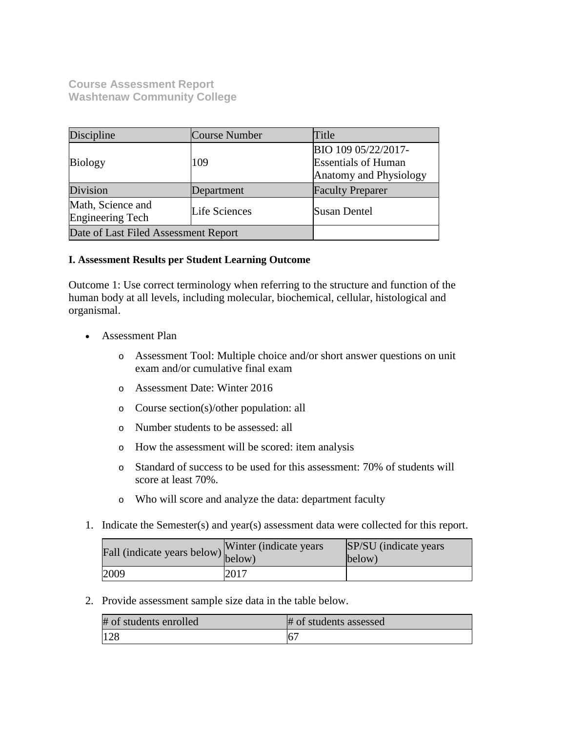**Course Assessment Report Washtenaw Community College**

| Discipline                                   | Course Number | Title                                                                       |
|----------------------------------------------|---------------|-----------------------------------------------------------------------------|
| <b>Biology</b>                               | 109           | BIO 109 05/22/2017-<br><b>Essentials of Human</b><br>Anatomy and Physiology |
| Division                                     | Department    | <b>Faculty Preparer</b>                                                     |
| Math, Science and<br><b>Engineering Tech</b> | Life Sciences | <b>Susan Dentel</b>                                                         |
| Date of Last Filed Assessment Report         |               |                                                                             |

## **I. Assessment Results per Student Learning Outcome**

Outcome 1: Use correct terminology when referring to the structure and function of the human body at all levels, including molecular, biochemical, cellular, histological and organismal.

- Assessment Plan
	- o Assessment Tool: Multiple choice and/or short answer questions on unit exam and/or cumulative final exam
	- o Assessment Date: Winter 2016
	- o Course section(s)/other population: all
	- o Number students to be assessed: all
	- o How the assessment will be scored: item analysis
	- o Standard of success to be used for this assessment: 70% of students will score at least 70%.
	- o Who will score and analyze the data: department faculty
- 1. Indicate the Semester(s) and year(s) assessment data were collected for this report.

| rall (indicate years below) below) | Winter (indicate years) | <b>SP/SU</b> (indicate years)<br>below) |
|------------------------------------|-------------------------|-----------------------------------------|
| 2009                               | 2017                    |                                         |

2. Provide assessment sample size data in the table below.

| # of students enrolled | # of students assessed |
|------------------------|------------------------|
| 128                    | 6 <sup>7</sup>         |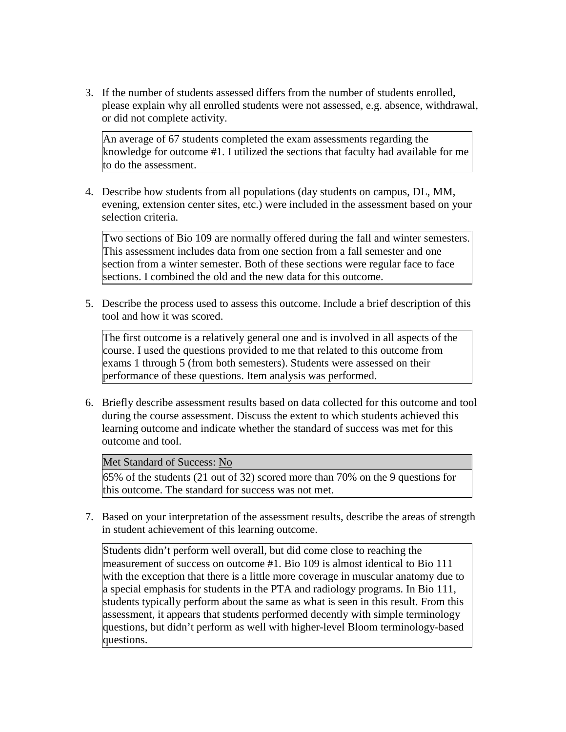3. If the number of students assessed differs from the number of students enrolled, please explain why all enrolled students were not assessed, e.g. absence, withdrawal, or did not complete activity.

An average of 67 students completed the exam assessments regarding the knowledge for outcome #1. I utilized the sections that faculty had available for me to do the assessment.

4. Describe how students from all populations (day students on campus, DL, MM, evening, extension center sites, etc.) were included in the assessment based on your selection criteria.

Two sections of Bio 109 are normally offered during the fall and winter semesters. This assessment includes data from one section from a fall semester and one section from a winter semester. Both of these sections were regular face to face sections. I combined the old and the new data for this outcome.

5. Describe the process used to assess this outcome. Include a brief description of this tool and how it was scored.

The first outcome is a relatively general one and is involved in all aspects of the course. I used the questions provided to me that related to this outcome from exams 1 through 5 (from both semesters). Students were assessed on their performance of these questions. Item analysis was performed.

6. Briefly describe assessment results based on data collected for this outcome and tool during the course assessment. Discuss the extent to which students achieved this learning outcome and indicate whether the standard of success was met for this outcome and tool.

## Met Standard of Success: No

65% of the students (21 out of 32) scored more than 70% on the 9 questions for this outcome. The standard for success was not met.

7. Based on your interpretation of the assessment results, describe the areas of strength in student achievement of this learning outcome.

Students didn't perform well overall, but did come close to reaching the measurement of success on outcome #1. Bio 109 is almost identical to Bio 111 with the exception that there is a little more coverage in muscular anatomy due to a special emphasis for students in the PTA and radiology programs. In Bio 111, students typically perform about the same as what is seen in this result. From this assessment, it appears that students performed decently with simple terminology questions, but didn't perform as well with higher-level Bloom terminology-based questions.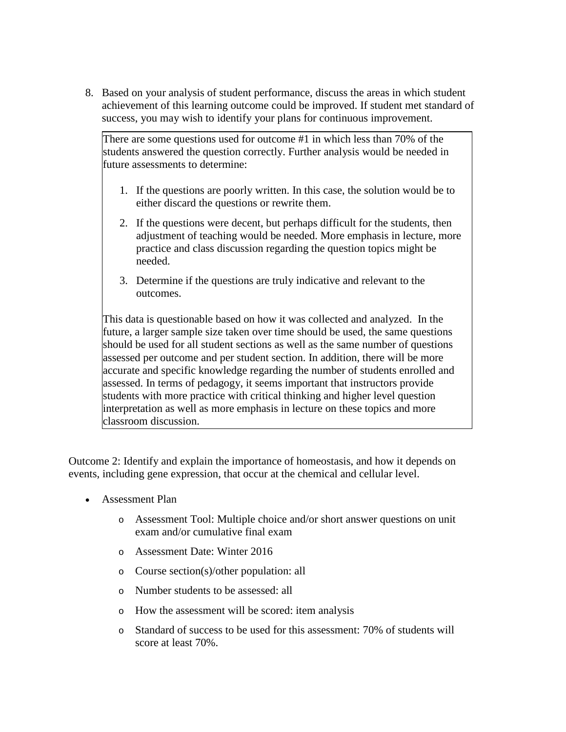8. Based on your analysis of student performance, discuss the areas in which student achievement of this learning outcome could be improved. If student met standard of success, you may wish to identify your plans for continuous improvement.

There are some questions used for outcome #1 in which less than 70% of the students answered the question correctly. Further analysis would be needed in future assessments to determine:

- 1. If the questions are poorly written. In this case, the solution would be to either discard the questions or rewrite them.
- 2. If the questions were decent, but perhaps difficult for the students, then adjustment of teaching would be needed. More emphasis in lecture, more practice and class discussion regarding the question topics might be needed.
- 3. Determine if the questions are truly indicative and relevant to the outcomes.

This data is questionable based on how it was collected and analyzed. In the future, a larger sample size taken over time should be used, the same questions should be used for all student sections as well as the same number of questions assessed per outcome and per student section. In addition, there will be more accurate and specific knowledge regarding the number of students enrolled and assessed. In terms of pedagogy, it seems important that instructors provide students with more practice with critical thinking and higher level question interpretation as well as more emphasis in lecture on these topics and more classroom discussion.

Outcome 2: Identify and explain the importance of homeostasis, and how it depends on events, including gene expression, that occur at the chemical and cellular level.

- Assessment Plan
	- o Assessment Tool: Multiple choice and/or short answer questions on unit exam and/or cumulative final exam
	- o Assessment Date: Winter 2016
	- o Course section(s)/other population: all
	- o Number students to be assessed: all
	- o How the assessment will be scored: item analysis
	- o Standard of success to be used for this assessment: 70% of students will score at least 70%.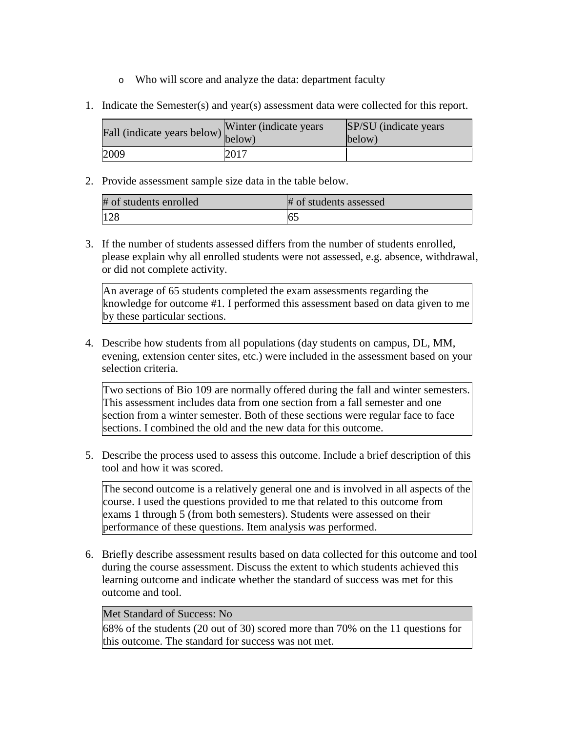- o Who will score and analyze the data: department faculty
- 1. Indicate the Semester(s) and year(s) assessment data were collected for this report.

| $\angle$ $\angle$ all (indicate years below) below) | Winter (indicate years) | SP/SU (indicate years)<br>below) |
|-----------------------------------------------------|-------------------------|----------------------------------|
| 2009                                                | 2017                    |                                  |

2. Provide assessment sample size data in the table below.

| # of students enrolled | # of students assessed |
|------------------------|------------------------|
| 128                    | 6:                     |

3. If the number of students assessed differs from the number of students enrolled, please explain why all enrolled students were not assessed, e.g. absence, withdrawal, or did not complete activity.

An average of 65 students completed the exam assessments regarding the knowledge for outcome #1. I performed this assessment based on data given to me by these particular sections.

4. Describe how students from all populations (day students on campus, DL, MM, evening, extension center sites, etc.) were included in the assessment based on your selection criteria.

Two sections of Bio 109 are normally offered during the fall and winter semesters. This assessment includes data from one section from a fall semester and one section from a winter semester. Both of these sections were regular face to face sections. I combined the old and the new data for this outcome.

5. Describe the process used to assess this outcome. Include a brief description of this tool and how it was scored.

The second outcome is a relatively general one and is involved in all aspects of the course. I used the questions provided to me that related to this outcome from exams 1 through 5 (from both semesters). Students were assessed on their performance of these questions. Item analysis was performed.

6. Briefly describe assessment results based on data collected for this outcome and tool during the course assessment. Discuss the extent to which students achieved this learning outcome and indicate whether the standard of success was met for this outcome and tool.

## Met Standard of Success: No

68% of the students (20 out of 30) scored more than 70% on the 11 questions for this outcome. The standard for success was not met.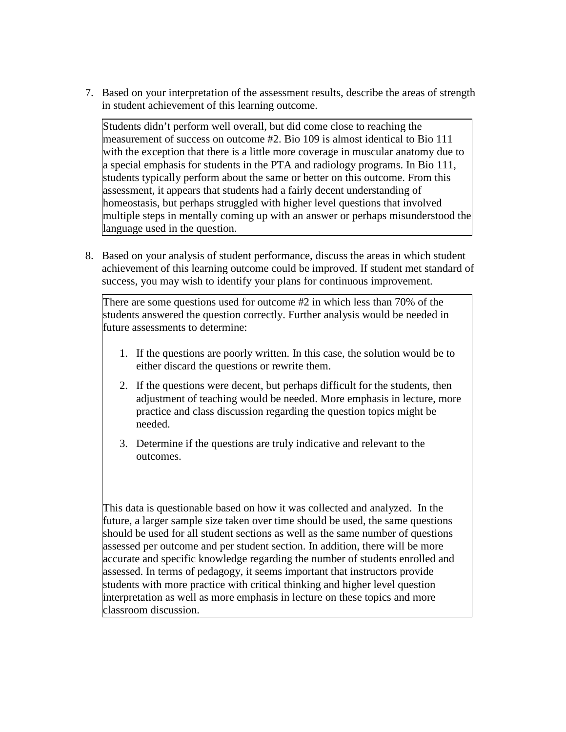7. Based on your interpretation of the assessment results, describe the areas of strength in student achievement of this learning outcome.

Students didn't perform well overall, but did come close to reaching the measurement of success on outcome #2. Bio 109 is almost identical to Bio 111 with the exception that there is a little more coverage in muscular anatomy due to a special emphasis for students in the PTA and radiology programs. In Bio 111, students typically perform about the same or better on this outcome. From this assessment, it appears that students had a fairly decent understanding of homeostasis, but perhaps struggled with higher level questions that involved multiple steps in mentally coming up with an answer or perhaps misunderstood the language used in the question.

8. Based on your analysis of student performance, discuss the areas in which student achievement of this learning outcome could be improved. If student met standard of success, you may wish to identify your plans for continuous improvement.

There are some questions used for outcome #2 in which less than 70% of the students answered the question correctly. Further analysis would be needed in future assessments to determine:

- 1. If the questions are poorly written. In this case, the solution would be to either discard the questions or rewrite them.
- 2. If the questions were decent, but perhaps difficult for the students, then adjustment of teaching would be needed. More emphasis in lecture, more practice and class discussion regarding the question topics might be needed.
- 3. Determine if the questions are truly indicative and relevant to the outcomes.

This data is questionable based on how it was collected and analyzed. In the future, a larger sample size taken over time should be used, the same questions should be used for all student sections as well as the same number of questions assessed per outcome and per student section. In addition, there will be more accurate and specific knowledge regarding the number of students enrolled and assessed. In terms of pedagogy, it seems important that instructors provide students with more practice with critical thinking and higher level question interpretation as well as more emphasis in lecture on these topics and more classroom discussion.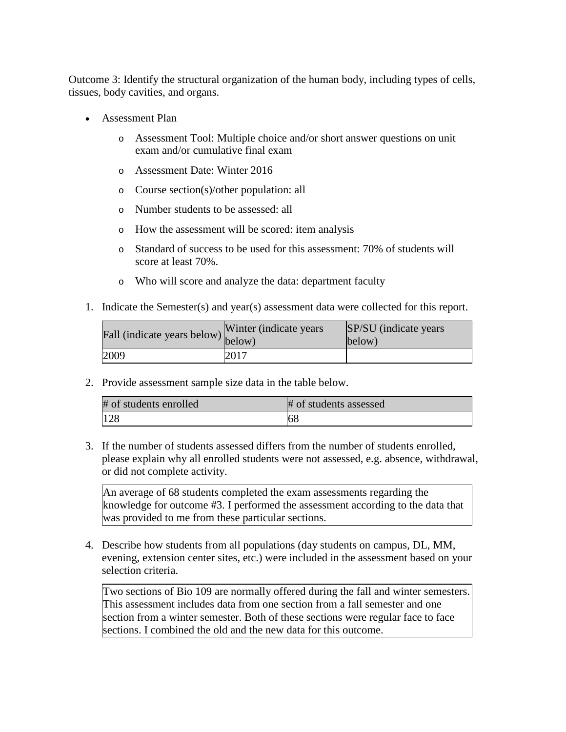Outcome 3: Identify the structural organization of the human body, including types of cells, tissues, body cavities, and organs.

- Assessment Plan
	- o Assessment Tool: Multiple choice and/or short answer questions on unit exam and/or cumulative final exam
	- o Assessment Date: Winter 2016
	- o Course section(s)/other population: all
	- o Number students to be assessed: all
	- o How the assessment will be scored: item analysis
	- o Standard of success to be used for this assessment: 70% of students will score at least 70%.
	- o Who will score and analyze the data: department faculty
- 1. Indicate the Semester(s) and year(s) assessment data were collected for this report.

| rall (indicate years below) below) | Winter (indicate years) | SP/SU (indicate years)<br>below) |
|------------------------------------|-------------------------|----------------------------------|
| 2009                               | 2017                    |                                  |

2. Provide assessment sample size data in the table below.

| # of students enrolled | # of students assessed |
|------------------------|------------------------|
| 128                    | 68                     |

3. If the number of students assessed differs from the number of students enrolled, please explain why all enrolled students were not assessed, e.g. absence, withdrawal, or did not complete activity.

An average of 68 students completed the exam assessments regarding the knowledge for outcome #3. I performed the assessment according to the data that was provided to me from these particular sections.

4. Describe how students from all populations (day students on campus, DL, MM, evening, extension center sites, etc.) were included in the assessment based on your selection criteria.

Two sections of Bio 109 are normally offered during the fall and winter semesters. This assessment includes data from one section from a fall semester and one section from a winter semester. Both of these sections were regular face to face sections. I combined the old and the new data for this outcome.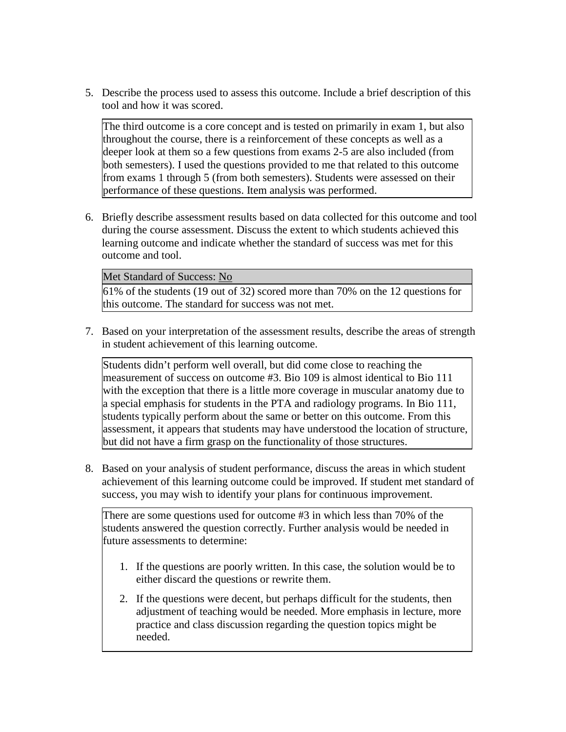5. Describe the process used to assess this outcome. Include a brief description of this tool and how it was scored.

The third outcome is a core concept and is tested on primarily in exam 1, but also throughout the course, there is a reinforcement of these concepts as well as a deeper look at them so a few questions from exams 2-5 are also included (from both semesters). I used the questions provided to me that related to this outcome from exams 1 through 5 (from both semesters). Students were assessed on their performance of these questions. Item analysis was performed.

6. Briefly describe assessment results based on data collected for this outcome and tool during the course assessment. Discuss the extent to which students achieved this learning outcome and indicate whether the standard of success was met for this outcome and tool.

Met Standard of Success: No

61% of the students (19 out of 32) scored more than 70% on the 12 questions for this outcome. The standard for success was not met.

7. Based on your interpretation of the assessment results, describe the areas of strength in student achievement of this learning outcome.

Students didn't perform well overall, but did come close to reaching the measurement of success on outcome #3. Bio 109 is almost identical to Bio 111 with the exception that there is a little more coverage in muscular anatomy due to a special emphasis for students in the PTA and radiology programs. In Bio 111, students typically perform about the same or better on this outcome. From this assessment, it appears that students may have understood the location of structure, but did not have a firm grasp on the functionality of those structures.

8. Based on your analysis of student performance, discuss the areas in which student achievement of this learning outcome could be improved. If student met standard of success, you may wish to identify your plans for continuous improvement.

There are some questions used for outcome #3 in which less than 70% of the students answered the question correctly. Further analysis would be needed in future assessments to determine:

- 1. If the questions are poorly written. In this case, the solution would be to either discard the questions or rewrite them.
- 2. If the questions were decent, but perhaps difficult for the students, then adjustment of teaching would be needed. More emphasis in lecture, more practice and class discussion regarding the question topics might be needed.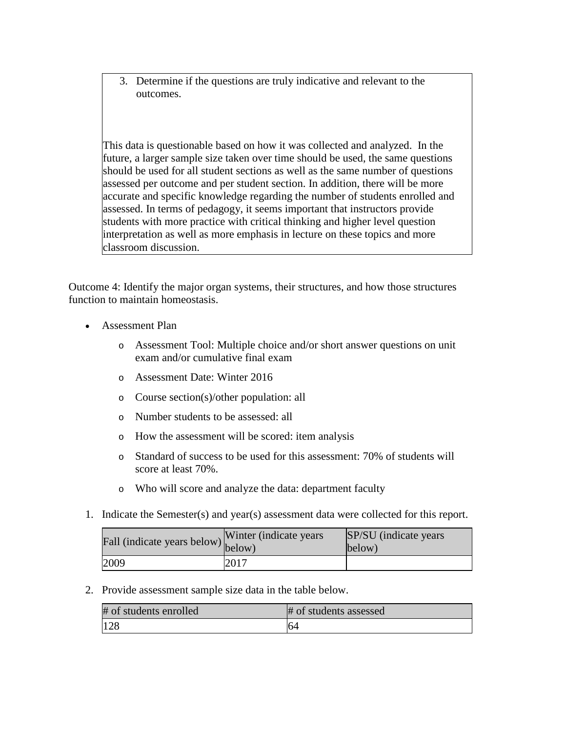3. Determine if the questions are truly indicative and relevant to the outcomes.

This data is questionable based on how it was collected and analyzed. In the future, a larger sample size taken over time should be used, the same questions should be used for all student sections as well as the same number of questions assessed per outcome and per student section. In addition, there will be more accurate and specific knowledge regarding the number of students enrolled and assessed. In terms of pedagogy, it seems important that instructors provide students with more practice with critical thinking and higher level question interpretation as well as more emphasis in lecture on these topics and more classroom discussion.

Outcome 4: Identify the major organ systems, their structures, and how those structures function to maintain homeostasis.

- Assessment Plan
	- o Assessment Tool: Multiple choice and/or short answer questions on unit exam and/or cumulative final exam
	- o Assessment Date: Winter 2016
	- o Course section(s)/other population: all
	- o Number students to be assessed: all
	- o How the assessment will be scored: item analysis
	- o Standard of success to be used for this assessment: 70% of students will score at least 70%.
	- o Who will score and analyze the data: department faculty
- 1. Indicate the Semester(s) and year(s) assessment data were collected for this report.

| Fall (indicate years below) below) | Winter (indicate years) | SP/SU (indicate years)<br>below) |
|------------------------------------|-------------------------|----------------------------------|
| 2009                               | 2017                    |                                  |

2. Provide assessment sample size data in the table below.

| # of students enrolled | # of students assessed |
|------------------------|------------------------|
| 128                    | 64                     |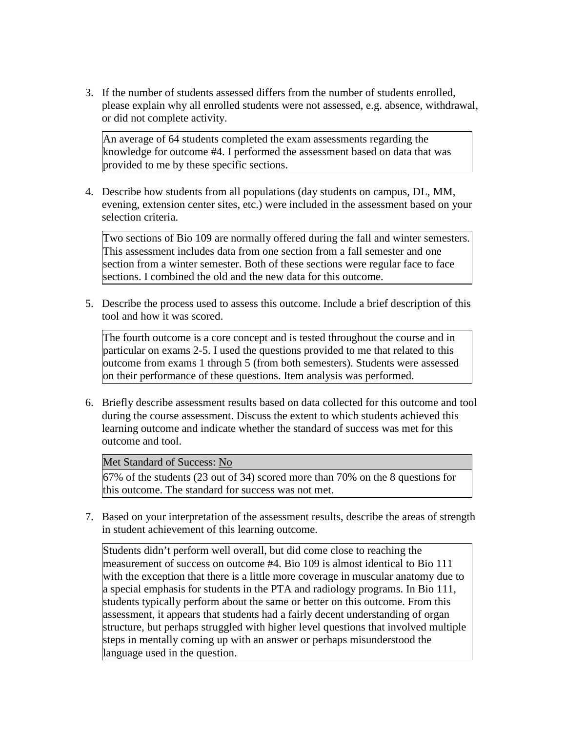3. If the number of students assessed differs from the number of students enrolled, please explain why all enrolled students were not assessed, e.g. absence, withdrawal, or did not complete activity.

An average of 64 students completed the exam assessments regarding the knowledge for outcome #4. I performed the assessment based on data that was provided to me by these specific sections.

4. Describe how students from all populations (day students on campus, DL, MM, evening, extension center sites, etc.) were included in the assessment based on your selection criteria.

Two sections of Bio 109 are normally offered during the fall and winter semesters. This assessment includes data from one section from a fall semester and one section from a winter semester. Both of these sections were regular face to face sections. I combined the old and the new data for this outcome.

5. Describe the process used to assess this outcome. Include a brief description of this tool and how it was scored.

The fourth outcome is a core concept and is tested throughout the course and in particular on exams 2-5. I used the questions provided to me that related to this outcome from exams 1 through 5 (from both semesters). Students were assessed on their performance of these questions. Item analysis was performed.

6. Briefly describe assessment results based on data collected for this outcome and tool during the course assessment. Discuss the extent to which students achieved this learning outcome and indicate whether the standard of success was met for this outcome and tool.

## Met Standard of Success: No

67% of the students (23 out of 34) scored more than 70% on the 8 questions for this outcome. The standard for success was not met.

7. Based on your interpretation of the assessment results, describe the areas of strength in student achievement of this learning outcome.

Students didn't perform well overall, but did come close to reaching the measurement of success on outcome #4. Bio 109 is almost identical to Bio 111 with the exception that there is a little more coverage in muscular anatomy due to a special emphasis for students in the PTA and radiology programs. In Bio 111, students typically perform about the same or better on this outcome. From this assessment, it appears that students had a fairly decent understanding of organ structure, but perhaps struggled with higher level questions that involved multiple steps in mentally coming up with an answer or perhaps misunderstood the language used in the question.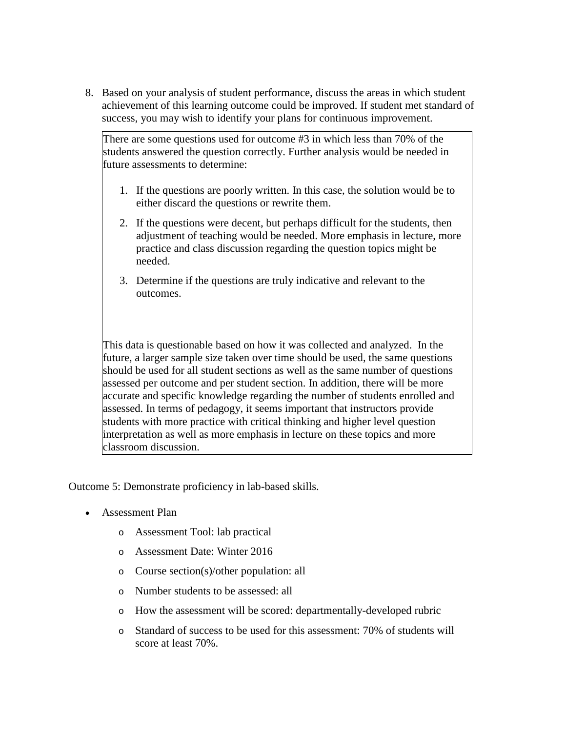8. Based on your analysis of student performance, discuss the areas in which student achievement of this learning outcome could be improved. If student met standard of success, you may wish to identify your plans for continuous improvement.

There are some questions used for outcome #3 in which less than 70% of the students answered the question correctly. Further analysis would be needed in future assessments to determine:

- 1. If the questions are poorly written. In this case, the solution would be to either discard the questions or rewrite them.
- 2. If the questions were decent, but perhaps difficult for the students, then adjustment of teaching would be needed. More emphasis in lecture, more practice and class discussion regarding the question topics might be needed.
- 3. Determine if the questions are truly indicative and relevant to the outcomes.

This data is questionable based on how it was collected and analyzed. In the future, a larger sample size taken over time should be used, the same questions should be used for all student sections as well as the same number of questions assessed per outcome and per student section. In addition, there will be more accurate and specific knowledge regarding the number of students enrolled and assessed. In terms of pedagogy, it seems important that instructors provide students with more practice with critical thinking and higher level question interpretation as well as more emphasis in lecture on these topics and more classroom discussion.

Outcome 5: Demonstrate proficiency in lab-based skills.

- Assessment Plan
	- o Assessment Tool: lab practical
	- o Assessment Date: Winter 2016
	- o Course section(s)/other population: all
	- o Number students to be assessed: all
	- o How the assessment will be scored: departmentally-developed rubric
	- o Standard of success to be used for this assessment: 70% of students will score at least 70%.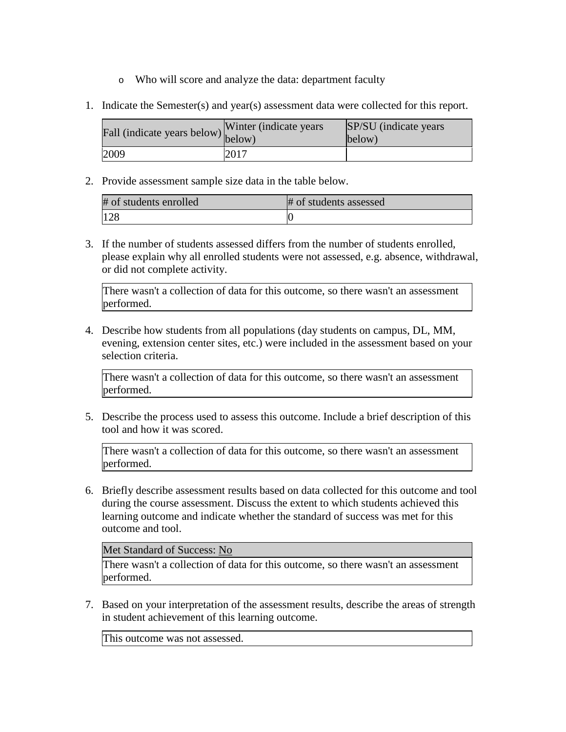- o Who will score and analyze the data: department faculty
- 1. Indicate the Semester(s) and year(s) assessment data were collected for this report.

| $\angle$ all (indicate years below) below) | Winter (indicate years) | SP/SU (indicate years)<br>below) |
|--------------------------------------------|-------------------------|----------------------------------|
| 2009                                       | 2017                    |                                  |

2. Provide assessment sample size data in the table below.

| # of students enrolled | # of students assessed |
|------------------------|------------------------|
| 128                    |                        |

3. If the number of students assessed differs from the number of students enrolled, please explain why all enrolled students were not assessed, e.g. absence, withdrawal, or did not complete activity.

There wasn't a collection of data for this outcome, so there wasn't an assessment performed.

4. Describe how students from all populations (day students on campus, DL, MM, evening, extension center sites, etc.) were included in the assessment based on your selection criteria.

There wasn't a collection of data for this outcome, so there wasn't an assessment performed.

5. Describe the process used to assess this outcome. Include a brief description of this tool and how it was scored.

There wasn't a collection of data for this outcome, so there wasn't an assessment performed.

6. Briefly describe assessment results based on data collected for this outcome and tool during the course assessment. Discuss the extent to which students achieved this learning outcome and indicate whether the standard of success was met for this outcome and tool.

Met Standard of Success: No

There wasn't a collection of data for this outcome, so there wasn't an assessment performed.

7. Based on your interpretation of the assessment results, describe the areas of strength in student achievement of this learning outcome.

This outcome was not assessed.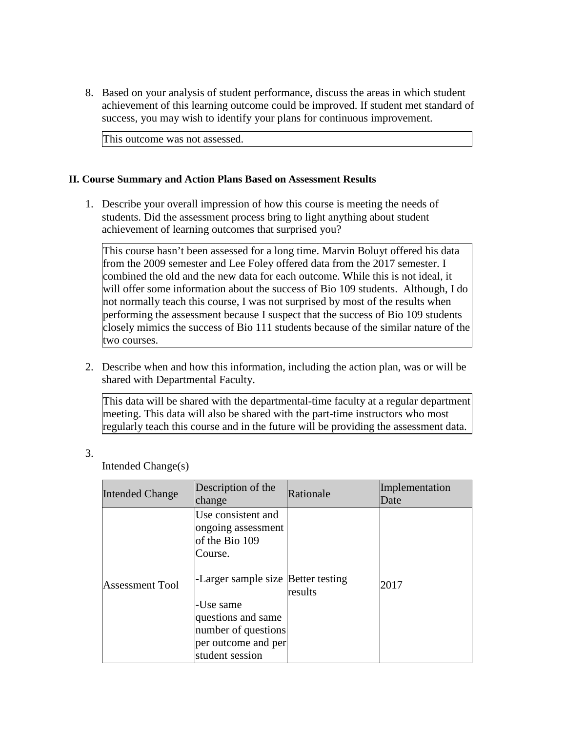8. Based on your analysis of student performance, discuss the areas in which student achievement of this learning outcome could be improved. If student met standard of success, you may wish to identify your plans for continuous improvement.

This outcome was not assessed.

## **II. Course Summary and Action Plans Based on Assessment Results**

1. Describe your overall impression of how this course is meeting the needs of students. Did the assessment process bring to light anything about student achievement of learning outcomes that surprised you?

This course hasn't been assessed for a long time. Marvin Boluyt offered his data from the 2009 semester and Lee Foley offered data from the 2017 semester. I combined the old and the new data for each outcome. While this is not ideal, it will offer some information about the success of Bio 109 students. Although, I do not normally teach this course, I was not surprised by most of the results when performing the assessment because I suspect that the success of Bio 109 students closely mimics the success of Bio 111 students because of the similar nature of the two courses.

2. Describe when and how this information, including the action plan, was or will be shared with Departmental Faculty.

This data will be shared with the departmental-time faculty at a regular department meeting. This data will also be shared with the part-time instructors who most regularly teach this course and in the future will be providing the assessment data.

3.

Intended Change(s)

| <b>Intended Change</b> | Description of the<br>change                                                                                                                                                                 | Rationale | Implementation<br>Date |
|------------------------|----------------------------------------------------------------------------------------------------------------------------------------------------------------------------------------------|-----------|------------------------|
| <b>Assessment Tool</b> | Use consistent and<br>ongoing assessment<br>of the Bio 109<br>Course.<br>-Larger sample size Better testing<br>-Use same<br>questions and same<br>number of questions<br>per outcome and per | results   | 2017                   |
|                        | student session                                                                                                                                                                              |           |                        |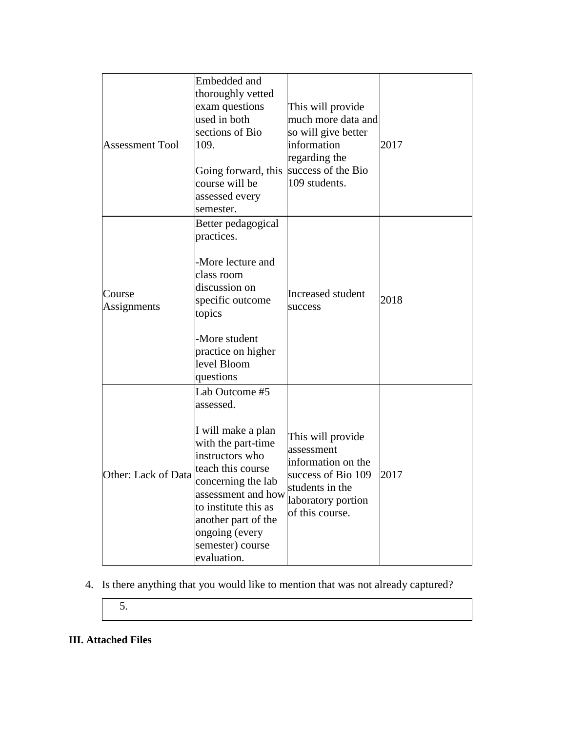| <b>Assessment Tool</b> | Embedded and<br>thoroughly vetted<br>exam questions<br>used in both<br>sections of Bio<br>109.<br>Going forward, this<br>course will be<br>assessed every<br>semester.                                                                                          | This will provide<br>much more data and<br>so will give better<br>information<br>regarding the<br>success of the Bio<br>109 students.   | 2017 |
|------------------------|-----------------------------------------------------------------------------------------------------------------------------------------------------------------------------------------------------------------------------------------------------------------|-----------------------------------------------------------------------------------------------------------------------------------------|------|
| Course<br>Assignments  | Better pedagogical<br>practices.<br>-More lecture and<br>class room<br>discussion on<br>specific outcome<br>topics<br>-More student<br>practice on higher<br>level Bloom<br>questions                                                                           | <b>Increased student</b><br>success                                                                                                     | 2018 |
| Other: Lack of Data    | Lab Outcome #5<br>assessed.<br>I will make a plan<br>with the part-time<br>instructors who<br>teach this course<br>concerning the lab<br>assessment and how<br>to institute this as<br>another part of the<br>ongoing (every<br>semester) course<br>evaluation. | This will provide<br>assessment<br>information on the<br>success of Bio 109<br>students in the<br>laboratory portion<br>of this course. | 2017 |

4. Is there anything that you would like to mention that was not already captured?

5.

# **III. Attached Files**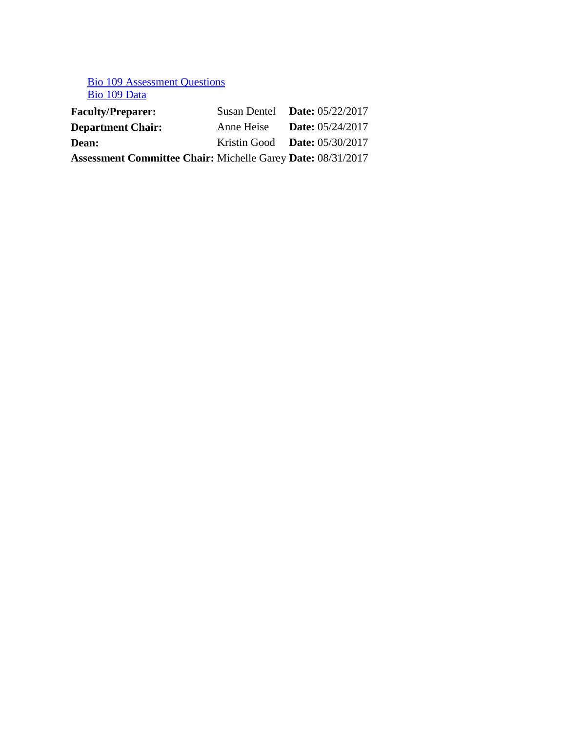# Bio 109 Assessment Questions Bio 109 Data

| <b>Faculty/Preparer:</b>                                           | Susan Dentel Date: $05/22/2017$ |                           |
|--------------------------------------------------------------------|---------------------------------|---------------------------|
| <b>Department Chair:</b>                                           | Anne Heise                      | <b>Date:</b> $05/24/2017$ |
| <b>Dean:</b>                                                       | Kristin Good Date: $05/30/2017$ |                           |
| <b>Assessment Committee Chair: Michelle Garey Date: 08/31/2017</b> |                                 |                           |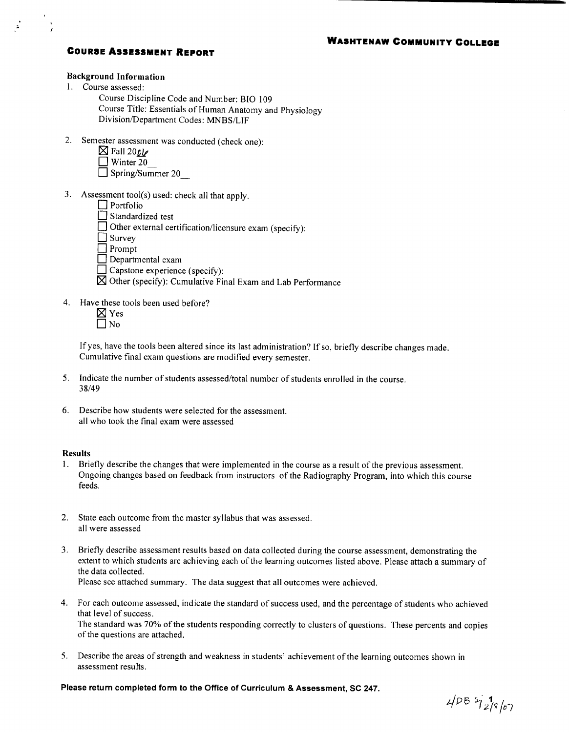## **COURSE ASSESSMENT REPORT**

### **Background Information**

- 1. Course assessed:
	- Course Discipline Code and Number: BIO 109 Course Title: Essentials of Human Anatomy and Physiology Division/Department Codes: MNBS/LIF
- 2. Semester assessment was conducted (check one):
	- $\boxtimes$  Fall 200V
	- $\Box$  Winter 20
	- $\Box$  Spring/Summer 20
- 3. Assessment tool(s) used: check all that apply.
	- $\Box$  Portfolio
	- $\Box$  Standardized test
	- $\Box$  Other external certification/licensure exam (specify):
	- $\Box$  Survey
	- $\Box$  Prompt
	- $\Box$  Departmental exam
	- $\Box$  Capstone experience (specify):
	- $\boxtimes$  Other (specify): Cumulative Final Exam and Lab Performance
- 4. Have these tools been used before?
	- $\boxtimes$  Yes  $\Box$  No

If yes, have the tools been altered since its last administration? If so, briefly describe changes made. Cumulative final exam questions are modified every semester.

- 5. Indicate the number of students assessed/total number of students enrolled in the course. 38/49
- 6. Describe how students were selected for the assessment. all who took the final exam were assessed

### **Results**

- 1. Briefly describe the changes that were implemented in the course as a result of the previous assessment. Ongoing changes based on feedback from instructors of the Radiography Program, into which this course feeds.
- 2. State each outcome from the master syllabus that was assessed. all were assessed
- 3. Briefly describe assessment results based on data collected during the course assessment, demonstrating the extent to which students are achieving each of the learning outcomes listed above. Please attach a summary of the data collected.

Please see attached summary. The data suggest that all outcomes were achieved.

- 4. For each outcome assessed, indicate the standard of success used, and the percentage of students who achieved that level of success. The standard was 70% of the students responding correctly to clusters of questions. These percents and copies
- of the questions are attached. 5. Describe the areas of strength and weakness in students' achievement of the learning outcomes shown in
- assessment results.

Please return completed form to the Office of Curriculum & Assessment, SC 247.

 $4/PB$   $5/2/8$  /07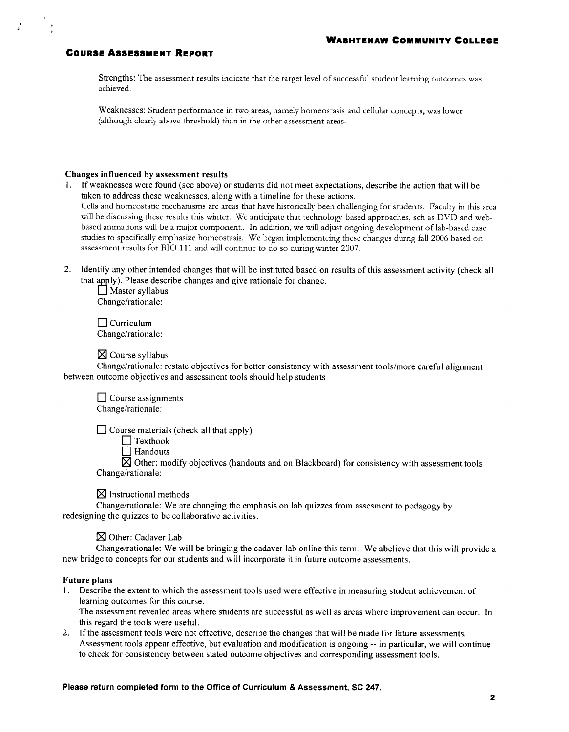### **COURSE ASSESSMENT REPORT**

Strengths: The assessment results indicate that the target level of successful student learning outcomes was achieved.

Weaknesses: Student performance in two areas, namely homeostasis and cellular concepts, was lower (although clearly above threshold) than in the other assessment areas.

### Changes influenced by assessment results

- 1. If weaknesses were found (see above) or students did not meet expectations, describe the action that will be taken to address these weaknesses, along with a timeline for these actions. Cells and homeostatic mechanisms are areas that have historically been challenging for students. Faculty in this area will be discussing these results this winter. We anticipate that technology-based approaches, sch as DVD and webbased animations will be a major component.. In addition, we will adjust ongoing development of lab-based case studies to specifically emphasize homeostasis. We began implementeing these changes durng fall 2006 based on assessment results for BIO 111 and will continue to do so during winter 2007.
- 2. Identify any other intended changes that will be instituted based on results of this assessment activity (check all that apply). Please describe changes and give rationale for change.

 $\Box$  Master syllabus Change/rationale:

 $\Box$  Curriculum Change/rationale:

 $\boxtimes$  Course syllabus

Change/rationale: restate objectives for better consistency with assessment tools/more careful alignment between outcome objectives and assessment tools should help students

 $\Box$  Course assignments Change/rationale:

 $\Box$  Course materials (check all that apply)

 $\Box$  Textbook

 $\Box$  Handouts

 $\boxtimes$  Other: modify objectives (handouts and on Blackboard) for consistency with assessment tools Change/rationale:

 $\boxtimes$  Instructional methods

Change/rationale: We are changing the emphasis on lab quizzes from assesment to pedagogy by redesigning the quizzes to be collaborative activities.

### $\boxtimes$  Other: Cadaver Lab

Change/rationale: We will be bringing the cadaver lab online this term. We abelieve that this will provide a new bridge to concepts for our students and will incorporate it in future outcome assessments.

#### **Future plans**

1. Describe the extent to which the assessment tools used were effective in measuring student achievement of learning outcomes for this course.

The assessment revealed areas where students are successful as well as areas where improvement can occur. In this regard the tools were useful.

2. If the assessment tools were not effective, describe the changes that will be made for future assessments. Assessment tools appear effective, but evaluation and modification is ongoing -- in particular, we will continue to check for consistenciy between stated outcome objectives and corresponding assessment tools.